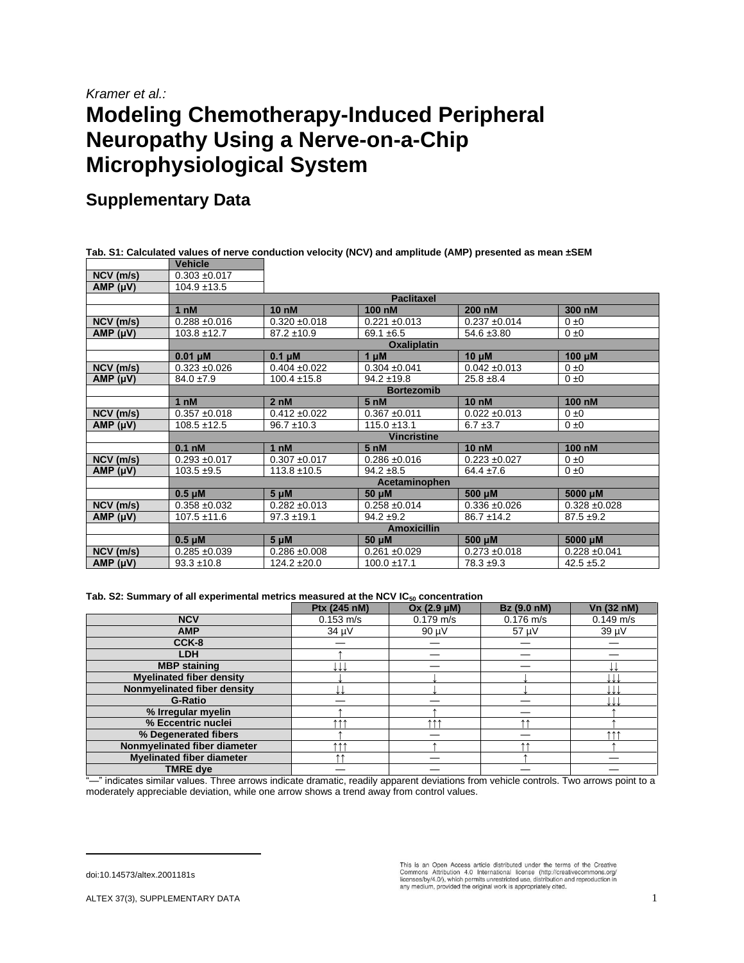## *Kramer et al.:* **Modeling Chemotherapy-Induced Peripheral Neuropathy Using a Nerve-on-a-Chip Microphysiological System**

## **Supplementary Data**

**Tab. S1: Calculated values of nerve conduction velocity (NCV) and amplitude (AMP) presented as mean ±SEM**

|                 | <b>Vehicle</b>    |                    |                   |                   |                   |  |  |  |
|-----------------|-------------------|--------------------|-------------------|-------------------|-------------------|--|--|--|
| $NCV$ (m/s)     | $0.303 + 0.017$   |                    |                   |                   |                   |  |  |  |
| AMP (µV)        | $104.9 \pm 13.5$  |                    |                   |                   |                   |  |  |  |
|                 | <b>Paclitaxel</b> |                    |                   |                   |                   |  |  |  |
|                 | 1 <sub>n</sub> M  | <b>10 nM</b>       | 100 nM            | 200 nM            | 300 nM            |  |  |  |
| $NCV$ (m/s)     | $0.288 + 0.016$   | $0.320 \pm 0.018$  | $0.221 \pm 0.013$ | $0.237 + 0.014$   | $0 \pm 0$         |  |  |  |
| AMP (µV)        | $103.8 \pm 12.7$  | $87.2 \pm 10.9$    | $69.1 \pm 6.5$    | $54.6 \pm 3.80$   | $0 \pm 0$         |  |  |  |
|                 |                   | <b>Oxaliplatin</b> |                   |                   |                   |  |  |  |
|                 | $0.01 \mu M$      | $0.1 \mu M$        | $1 \mu M$         | $10 \mu M$        | 100 µM            |  |  |  |
| NCV (m/s)       | $0.323 + 0.026$   | $0.404 \pm 0.022$  | $0.304 \pm 0.041$ | $0.042 \pm 0.013$ | $0 \pm 0$         |  |  |  |
| AMP (µV)        | $84.0 \pm 7.9$    | $100.4 \pm 15.8$   | $94.2 \pm 19.8$   | $25.8 \pm 8.4$    | $0 \pm 0$         |  |  |  |
|                 | <b>Bortezomib</b> |                    |                   |                   |                   |  |  |  |
|                 | 1 <sub>nM</sub>   | 2nM                | 5 <sub>nM</sub>   | <b>10 nM</b>      | 100 nM            |  |  |  |
| $NCV$ (m/s)     | $0.357 + 0.018$   | $0.412 \pm 0.022$  | $0.367 + 0.011$   | $0.022 \pm 0.013$ | $0 \pm 0$         |  |  |  |
| AMP (µV)        | $108.5 \pm 12.5$  | $96.7 \pm 10.3$    | $115.0 \pm 13.1$  | $6.7 \pm 3.7$     | $0 \pm 0$         |  |  |  |
|                 |                   | <b>Vincristine</b> |                   |                   |                   |  |  |  |
|                 | $0.1$ nM          | 1 <sub>n</sub> M   | 5 <sub>nh</sub>   | <b>10 nM</b>      | 100 nM            |  |  |  |
| $NCV$ (m/s)     | $0.293 + 0.017$   | $0.307 + 0.017$    | $0.286 \pm 0.016$ | $0.223 \pm 0.027$ | $0 \pm 0$         |  |  |  |
| AMP (µV)        | $103.5 + 9.5$     | $113.8 \pm 10.5$   | $94.2 + 8.5$      | $64.4 \pm 7.6$    | $0 \pm 0$         |  |  |  |
|                 | Acetaminophen     |                    |                   |                   |                   |  |  |  |
|                 | $0.5 \mu M$       | $5 \mu M$          | 50 µM             | 500 µM            | 5000 µM           |  |  |  |
| NCV (m/s)       | $0.358 + 0.032$   | $0.282 \pm 0.013$  | $0.258 + 0.014$   | $0.336 + 0.026$   | $0.328 + 0.028$   |  |  |  |
| AMP (µV)        | $107.5 \pm 11.6$  | $97.3 \pm 19.1$    | $94.2 \pm 9.2$    | $86.7 \pm 14.2$   | $87.5 \pm 9.2$    |  |  |  |
|                 |                   | <b>Amoxicillin</b> |                   |                   |                   |  |  |  |
|                 | $0.5 \mu M$       | $5 \mu M$          | 50 µM             | 500 µM            | 5000 µM           |  |  |  |
| $NCV$ ( $m/s$ ) | $0.285 + 0.039$   | $0.286 + 0.008$    | $0.261 + 0.029$   | $0.273 \pm 0.018$ | $0.228 \pm 0.041$ |  |  |  |
| AMP $(\mu V)$   | $93.3 \pm 10.8$   | $124.2 \pm 20.0$   | $100.0 \pm 17.1$  | $78.3 + 9.3$      | $42.5 + 5.2$      |  |  |  |

## **Tab. S2: Summary of all experimental metrics measured at the NCV IC<sup>50</sup> concentration**

|                                  | Ptx (245 nM)        | Ox (2.9 µM) | Bz (9.0 nM) | Vn (32 nM)  |
|----------------------------------|---------------------|-------------|-------------|-------------|
| <b>NCV</b>                       | $0.153 \text{ m/s}$ | $0.179$ m/s | $0.176$ m/s | $0.149$ m/s |
| <b>AMP</b>                       | 34 µV               | 90 µV       | 57 µV       | 39 µV       |
| CCK-8                            |                     |             |             |             |
| <b>LDH</b>                       |                     |             |             |             |
| <b>MBP</b> staining              |                     |             |             |             |
| <b>Myelinated fiber density</b>  |                     |             |             |             |
| Nonmyelinated fiber density      |                     |             |             |             |
| <b>G-Ratio</b>                   |                     |             |             |             |
| % Irregular myelin               |                     |             |             |             |
| % Eccentric nuclei               | <b>111</b>          | <b>111</b>  | <b>11</b>   |             |
| % Degenerated fibers             |                     |             |             | <b>AAA</b>  |
| Nonmyelinated fiber diameter     | 111                 |             | $\uparrow$  |             |
| <b>Myelinated fiber diameter</b> | <b>AA</b>           |             |             |             |
| <b>TMRE dye</b>                  |                     |             |             |             |

"—" indicates similar values. Three arrows indicate dramatic, readily apparent deviations from vehicle controls. Two arrows point to a moderately appreciable deviation, while one arrow shows a trend away from control values.